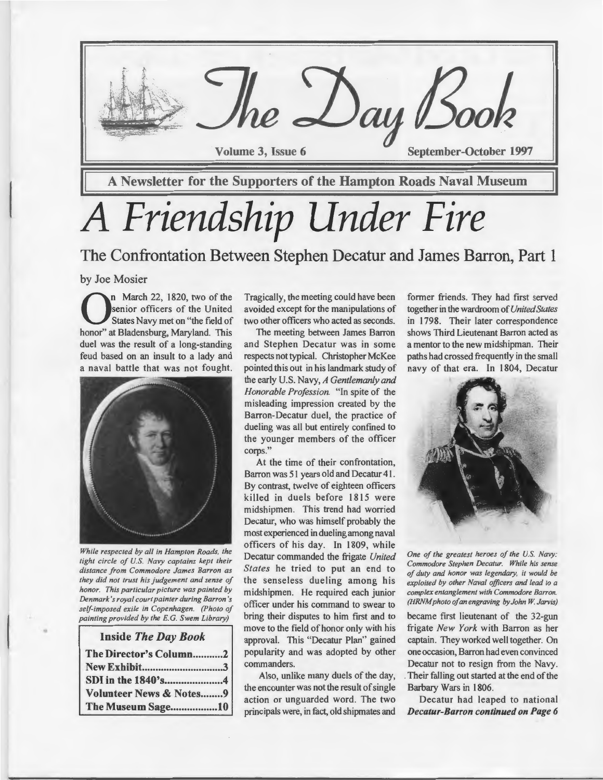

**September-October 1997** 

A Newsletter for the Supporters of the Hampton Roads Naval Museum

re Day Book

# *A Friendship Under Fire*

The Confrontation Between Stephen Decatur and James Barron, Part 1

#### by Joe Mosier

**On** March 22, 1820, two of the<br>States Navy met on "the field of<br>hence" at Bladenshure, Maryland, This senior officers of the United States Navy met on "the field of honor" at Bladensburg, Maryland. This duel was the result of a long-standing feud based on an insult to a lady and a naval battle that was not fought.



*While respected by all in Hampton Roads, the tight circle of U.S. Navy captains kept their distance from Commodore James Barron as they did not trust his judgement and sense of honor. This particular picture was painted by Denmark's royal court painter during Barron 's self-imposed exile in Copenhagen. (Photo of painting provided by the E.* G. *Swem Library)* 

#### Inside *The Day Book*

•

| The Director's Column2             |
|------------------------------------|
|                                    |
|                                    |
| <b>Volunteer News &amp; Notes9</b> |
| The Museum Sage10                  |

Tragically, the meeting could have been avoided except for the manipulations of two other officers who acted as seconds.

The meeting between James Barron and Stephen Decatur was in some respects not typical. Christopher McKee pointed this out in his landmark study of the early U.S. Navy, *A Gentlemanly and Honorable Profession.* "In spite of the misleading impression created by the Barron-Decatur duel, the practice of dueling was all but entirely confmed to the younger members of the officer corps."

At the time of their confrontation, Barron was 51 years old and Decatur 41. By contrast, twelve of eighteen officers killed in duels before 1815 were midshipmen. This trend had worried Decatur, who was himself probably the most experienced in dueling among naval officers of his day. In 1809, while Decatur commanded the frigate *United States* he tried to put an end to the senseless dueling among his midshipmen. He required each junior officer under his command to swear to bring their disputes to him first and to move to the field of honor only with his approval. This "Decatur Plan" gained popularity and was adopted by other commanders.

Also, unlike many duels of the day, the encounter was not the result of single action or unguarded word. The two principals were, in fact, old shipmates and

former friends. They had first served together in the wardroom of *United States*  in 1798. Their later correspondence shows Third Lieutenant Barron acted as a mentor to the new midshipman. Their paths had crossed frequently in the small navy of that era. In 1804, Decatur



*One of the greatest heroes of the U.S. Navy: Commodore Stephen Decatur. While his sense of duty and honor was legendary, it would be exploited by other Naval officers and lead to a complex entanglement with Commodore Barron. (HRNM photo of an engraving by John W. Jarvis)* 

became first lieutenant of the 32-gun frigate *New York* with Barron as her captain. They worked well together. On one occasion, Barron had even convinced Decatur not to resign from the Navy. . Their falling out started at the end of the Barbary Wars in 1806.

Decatur had leaped to national Decatur-Barron continued on Page 6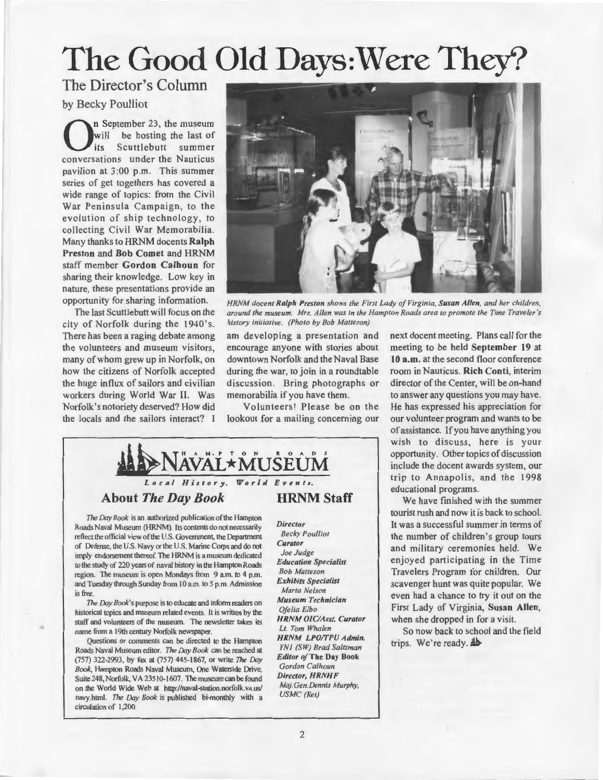### The Good Old Days: Were They?

### The Director's Column

by Becky Poulliot

n September 23, the museum<br>will be hosting the last of<br>its Scuttlebutt summer will be hosting the last of Scuttlebutt summer conversations under the Nauticus pavilion at 3:00 p.m. This summer series of get togethers has covered a wide range of topics: from the Civil War Peninsula Campaign, to the evo lution of ship technology, to collecting Civil War Memorabilia. Many thanks to HRNM docents Ralph Preston and Bob Comet and HRNM staff member Gordon Calhoun for sharing their knowledge. Low key in nature, these presentations provide an opportunity for sharing information.

The last Scuttlebutt will focus on the city of Norfolk during the 1940's. There has been a raging debate among the volunteers and museum visitors, many of whom grew up in Norfolk, on how the citizens of Norfolk accepted the huge influx of sailors and civilian workers during World War II. Was Norfolk's notoriety deserved? How did the locals and the sailors interact? I



*HRNM docent Ralph Preston shows the First Lady of Virginia, Susan Allen, and her children, around the museum. Mrs. Allen was in the Hampton Roads area to promote the Time Traveler's history initiative. (Photo by Bob Matteson)* 

am developing a presentation and encourage anyone with stories about downtown Norfolk and the Naval Base during the war, to join in a roundtable discussion. Bring photographs or memorabilia if you have them.

Volunteers! Please be on the lookout for a mailing concerning our



#### About *The Day Book*

*The* Day *Book* is an authorized publication ofthe Hampton Roads Naval Museum (HRNM). Its contents do not necessarily reflect the official view of the U.S. Government, the Department of Defense, the U.S. Navy or the U.S. Marine Corps and do not imply endorsement thereof. The HRNM is a museum dedicated to the study of 220 years of naval history in the Hampton Roads region. The museum is open Mondays from 9 am. to 4 p.m. and Tuesday through Sunday from 10 a.m. to 5 p.m. Admission is free.

The Day *Book's* purpose is to educate and inform readers on historical topics and museum related events. It is written by the staff and volunteers of the museum. The newsletter takes its name from a 19th century Norfolk newspaper.

•

Questions or comments can be directed to the Hampton Roads Naval Museum editor. *The Day Book* can be reached at (757) 322-2993, by fax at (757) 445-1867, or write The Day *Book,* Hampton Roads Naval Museum, One Waterside Drive, Suite 248, Norfolk, VA 23510-1607. The museum can be found on the World Wide Web at http://naval-station.norfolk.va.us/ navy.htrnl. *The Day Book* is published bi-monthly with a circulation of 1,200.

*Director Becky Poulliot Curator Joe Judge Education Specialist Bob Matteson Exhibits Specialist Marta Nelson Museum Technician Ofelia Elbo HRNM 0/C/Asst. Curator Lt. Tom Whalen HRNM LPO/TPU Admin. YN I (SW) Brad Saltzman Editor of* The Day Book *Gordon Calhoun Director, HRNHF Maj.Gen.Dennis Murphy, USMC (Ret)* 

next docent meeting. Plans call for the meeting to be held September 19 at 10 a.m. at the second floor conference room in Nauticus. Rich Conti, interim director of the Center, will be on-hand to answer any questions you may have. He has expressed his appreciation for our volunteer program and wants to be of assistance. If you have anything you wish to discuss, here is your opportunity. Other topics of discussion include the docent awards system, our trip to Annapolis, and the 1998 educational programs.

We have finished with the summer tourist rush and now it is back to school. It was a successful summer in terms of the number of children's group tours and military ceremonies held. We enjoyed participating in the Time Travelers Program tor children. Our scavenger hunt was quite popular. We even had a chance to try it out on the First Lady of Virginia, Susan Allen, when she dropped in for a visit.

So now back to school and the field trips. We're ready.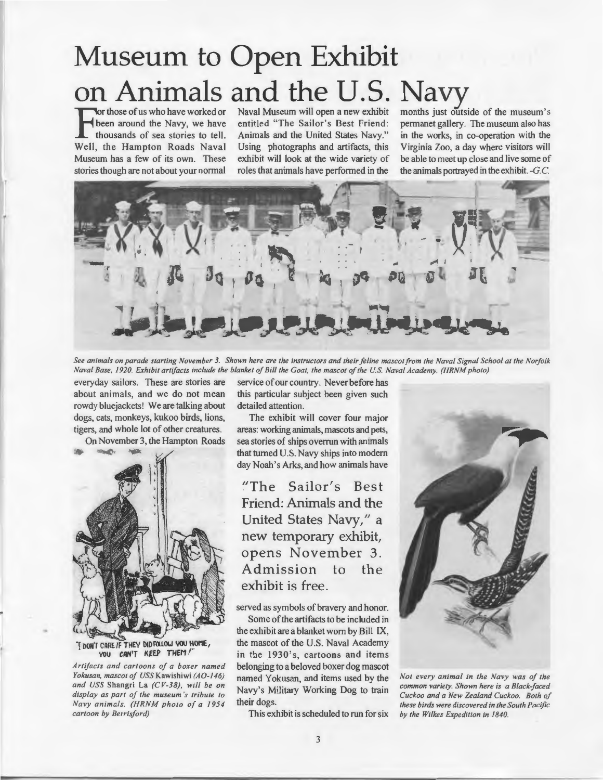## **Museum to Open Exhibit on Animals and the U.S. Navy**<br> **For those of us who have worked or** Naval Museum will open a new exhibit months just outside of the museum's

For those of us who have worked or<br>
those a stories to tell. Animals and the United States Navy." in the works, in co-operation with the<br>
Health the Hampton Boods Naval Heinz, photographs and artifects this Virginia Zoo a Well, the Hampton Roads Naval Using photographs and artifacts, this Virginia Zoo, a day where visitors will Museum has a few of its own. These exhibit will look at the wide variety of be able to meet up close and live some Museum has a few of its own. These exhibit will look at the wide variety of be able to meet up close and live some of stories though are not about your normal roles that animals have performed in the the animals portrayed stories though are not about your normal

been around the Navy, we have entitled "The Sailor's Best Friend: permanet gallery. The museum also has thousands of sea stories to tell. Animals and the United States Navy." in the works, in co-operation with the Animals and the United States Navy." in the works, in co-operation with the Using photographs and artifacts, this Virginia Zoo, a day where visitors will



*See animals on parade starting November 3. Shown here are the instructors and their feline mascot from the Naval Signal School at the Norfolk Naval Base, 1920. Exhibit artifacts include the blanket of Bill the Goat, the mascot of the U.S Naval Academy. (HRNM photo)* 

everyday sailors. These are stories are service of our country. Never before has about animals, and we do not mean this particular subject been given such rowdy bluejackets! We are talking about detailed attention. dogs, cats, monkeys, kukoo birds, lions, The exhibit will cover four major tigers, and whole lot of other creatures. areas: working animals, mascots and pets,



"I DON'T CARE IF THEY DID FOLLOW YOU HOME, YOU CAN'T KEEP THEM!

•

*Artifacts and cartoons of a boxer named Yokusan, mascot of USS* Kawishiwi *(A0-146) and USS* Shangri La *(CV-38), will be on display as part of the museum 's tribute to Navy animals. (HRNM photo of a 1954 cartoon by Berrisford)* 

On November 3, the Hampton Roads sea stories of ships overrun with animals that turned U.S. Navy ships into modern day Noah's Arks, and how animals have

> "The Sailor's Best Friend: Animals and the United States Navy," a new temporary exhibit, opens November 3. Admission to the exhibit is free.

served as symbols of bravery and honor.

Some of the artifacts to be included in the exhibit are a blanket worn by Bill IX, the mascot of the U.S. Naval Academy in the 1930's, cartoons and items belonging to a beloved boxer dog mascot named Yokusan, and items used by the Navy's Military Working Dog to train their dogs.

This exhibit is scheduled to run for six



*Not every animal in the Navy was of the common variety. Shown here is a Black-faced Cuckoo and a New Zealand Cuckoo. Both of these birds were discovered in the South Pacific by the Wilkes Expedition in 1840.*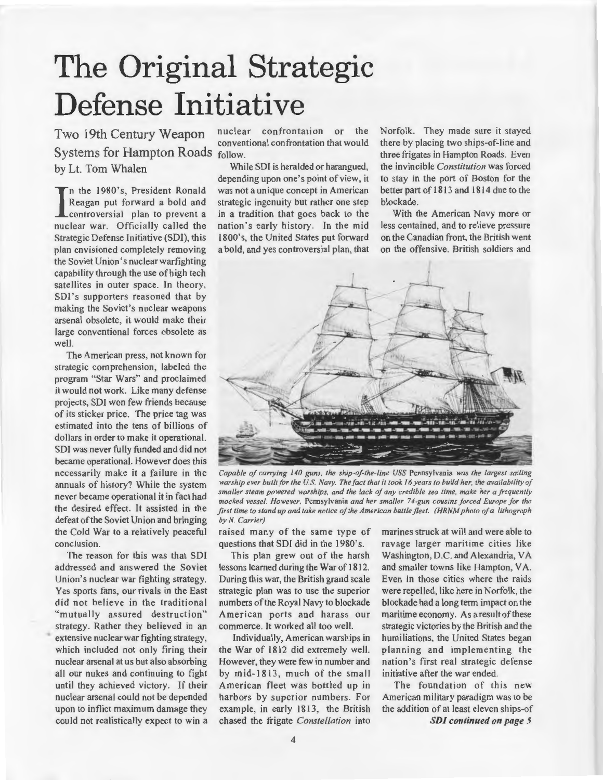### **The Original Strategic Defense Initiative**

Two 19th Century Weapon nuclear confrontation or the Systems for Hampton Roads follow. by Lt. Tom Whalen While SDI is heralded or harangued,

In the 1980's, President Ronald<br>Reagan put forward a bold and<br>controversial plan to prevent a<br>nuclear war. Officially called the n the 1980's, President Ronald Reagan put forward a bold and controversial plan to prevent a Strategic Defense Initiative (SDI), this plan envisioned completely removing the Soviet Union's nuclear warfighting capability through the use of high tech satellites in outer space. In theory, SDI's supporters reasoned that by making the Soviet's nuclear weapons arsenal obsolete, it would make their large conventional forces obsolete as well.

The American press, not known for strategic comprehension, labeled the program "Star Wars" and proclaimed it would not work. Like many defense projects, SDI won few friends because of its sticker price. The price tag was estimated into the tens of billions of dollars in order to make it operational. SOl was never fully funded and did not became operational. However does this necessarily make it a failure in the annuals of history? While the system never became operational it in fact had the desired effect. It assisted in the defeat of the Soviet Union and bringing the Cold War to a relatively peaceful conclusion.

The reason for this was that SDI addressed and answered the Soviet Union's nuclear war fighting strategy. Yes sports fans, our rivals in the East did not believe in the traditional "mutually assured destruction" strategy. Rather they believed in an extensive nuclear war fighting strategy, which included not only firing their nuclear arsenal at us but also absorbing all our nukes and continuing to fight until they achieved victory. If their nuclear arsenal could not be depended upon to inflict maximum damage they could not realistically expect to win a conventional confrontation that would

depending upon one's point of view, it was not a unique concept in American strategic ingenuity but rather one step in a tradition that goes back to the nation's early history. In the mid 1800's, the United States put forward a bold, and yes controversial plan, that Norfolk. They made sure it stayed there by placing two ships-of-line and three frigates in Hampton Roads. Even the invincible *Constitution* was forced to stay in the port of Boston for the better part of 1813 and 1814 due to the blockade.

With the American Navy more or less contained, and to relieve pressure on the Canadian front, the British went on the offensive. British soldiers and



*Capable of carrying 140 guns, the ship-of-the-line USS* Pennsylvania *was the largest sailing warship ever built for the U.S. Navy. The fact that it took 16 years to build her, the availability of smaller steam powered warships, and the lack of any credible sea time, make her a frequently mocked vessel. However,* Pennsylvania *and her smaller 74-gun cousins forced Europe for the first time to stand up and take notice of the American battle fleet. (HRNM photo of a lithograph by N. Carrier)* 

raised many of the same type of marines struck at will and were able to questions that SOl did in the 1980's.

This plan grew out of the harsh lessons learned during the War of 1812. During this war, the British grand scale strategic plan was to use the superior numbers of the Royal Navy to blockade American ports and harass our commerce. It worked all too well.

Individually, American warships in the War of 1812 did extremely well. However, they were few in number and by mid-1813, much of the small American fleet was bottled up in harbors by superior numbers. For example, in early 1813, the British chased the frigate *Constellation* into ravage larger maritime cities like Washington, D.C. and Alexandria, VA and smaller towns like Hampton, VA. Even in those cities where the raids were repelled, like here in Norfolk, the blockade had a long term impact on the maritime economy. As a result of these strategic victories by the British and the humiliations, the United States began planning and implementing the nation 's first real strategic defense initiative after the war ended.

The foundation of this new American military paradigm was to be the addition of at least eleven ships-of *SDI continued on page 5*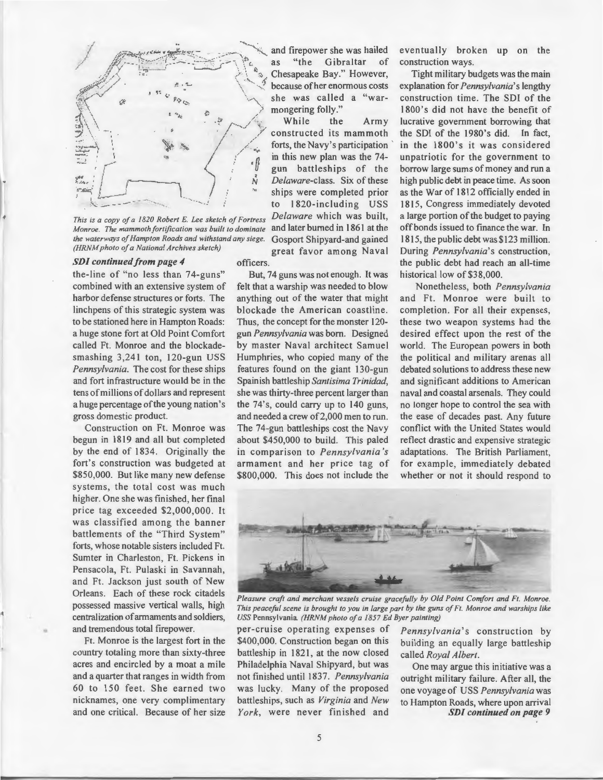

*This is a copy of a 1820 Robert E. Lee sketch of Fortress Monroe. The mammoth fortification was built to dominate the waterways of Hampton Roads and withstand any siege. (HRNM photo of a National Archives sketch)* 

#### *SDI continued from page 4*

the-line of "no less than 74-guns" combined with an extensive system of harbor defense structures or forts. The linch pens of this strategic system was to be stationed here in Hampton Roads: a huge stone fort at Old Point Comfort called Ft. Monroe and the blockadesmashing 3,241 ton, 120-gun USS *Pennsylvania.* The cost for these ships and fort infrastructure would be in the tens of millions of dollars and represent a huge percentage of the young nation 's gross domestic product.

Construction on Ft. Monroe was begun in 1819 and all but completed by the end of 1834. Originally the fort's construction was budgeted at \$850,000. But like many new defense systems, the total cost was much higher. One she was finished, her final price tag exceeded \$2,000,000 . It was classified among the banner battlements of the "Third System" forts, whose notable sisters included Ft. Sumter in Charleston, Ft. Pickens in Pensacola, Ft. Pulaski in Savannah, and Ft. Jackson just south of New Orleans. Each of these rock citadels possessed massive vertical walls, high centralization of armaments and soldiers, and tremendous total firepower.

Ft. Monroe is the largest fort in the country totaling more than sixty-three acres and encircled by a moat a mile and a quarter that ranges in width from 60 to 150 feet. She earned two nicknames, one very complimentary and one critical. Because of her size and firepower she was hailed<br>as "the Gibraltar of "the Gibraltar of because of her enormous costs

constructed its mammoth forts, the Navy's participation *.* in this new plan was the 74 gun battleships of the<br>*Delaware*-class. Six of these ships were completed prior to 1820-including USS *Delaware* which was built, and later burned in 1861 at the Gosport Shipyard-and gained great favor among Naval

officers.

But, 74 guns was not enough. It was felt that a warship was needed to blow anything out of the water that might blockade the American coastline. Thus, the concept for the monster 120 gun *Pennsy lvania* was born. Designed by master Naval architect Samuel Humphries, who copied many of the features found on the giant 130-gun Spain ish battleship *Santisima Trinidad,*  she was thirty-three percent larger than the 74's, could carry up to 140 guns, and needed a crew of 2,000 men to run. The 74-gun battleships cost the Navy about \$450,000 to build. This paled in comparison to *Pennsylvania's* armament and her price tag of \$800,000. This does not include the

eventually broken up on the construction ways.

Tight military budgets was the main explanation for *Pennsylvania's* lengthy construction time. The SDI of the 1800's did not have the benefit of lucrative government borrowing that the SDI of the 1980's did. In fact, in the 1800's it was considered unpatriotic for the government to borrow large sums of money and run a high public debt in peace time. As soon as the War of 1812 officially ended in 1815, Congress immediately devoted a large portion of the budget to paying off bonds issued to finance the war. In 1815, the public debt was \$123 million. During *Pennsylvania's* construction, the public debt had reach an all-time historical low of \$38,000.

Nonetheless, both *Pennsy lvania*  and Ft. Monroe were built to completion. For all their expenses, these two weapon systems had the desired effect upon the rest of the world. The European powers in both the political and military arenas all debated solutions to address these new and significant additions to American naval and coastal arsenals. They could no longer hope to control the sea with the ease of decades past. Any future conflict with the United States would reflect drastic and expensive strategic adaptations. The British Parliament, for example, immediately debated whether or not it should respond to



*Pleasure craft and merchant vessels cruise gracefully by Old Point Comfort and Ft. Monroe. This peaceful scene is brought to you in large part by the guns of Ft. Monroe and warships like USS* Pennsylvania. *(HRNM photo of a 1857 Ed Byer painting)* 

per-cruise operating expenses of *Pennsylvania's* construction by \$400,000. Construction began on this building an equally large battleship battleship in 1821, at the now closed called *Royal Albert*. Philadelphia Naval Shipyard, but was One may argue this initiative was a not finished until 1837. *Pennsylvania* outright military failure. After all, the was lucky. Many of the proposed one voyage of USS *Pennsylvania* was was lucky. Many of the proposed one voyage of USS *Pennsylvania* was

building an equally large battleship

to Hampton Roads, where upon arrival *York*, were never finished and **SDI continued on page 9**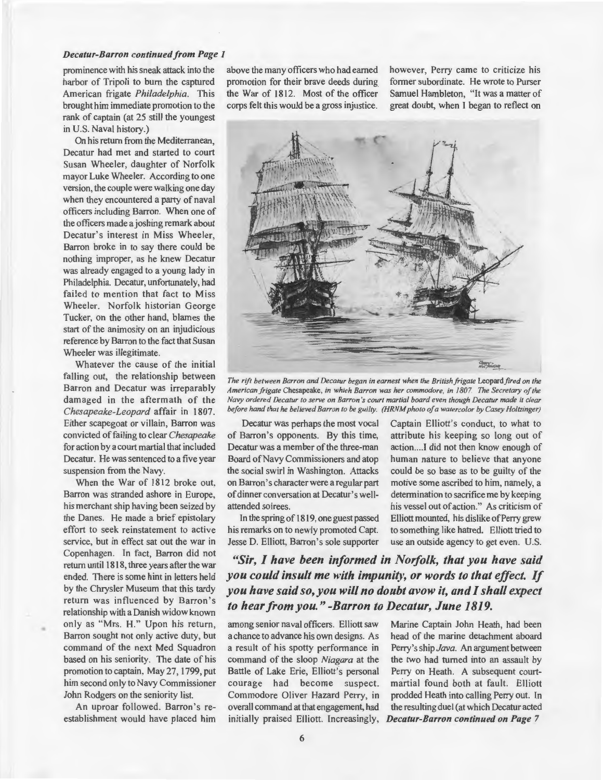#### *Decatur-Barron continued from Page 1*

prominence with his sneak attack into the harbor of Tripoli to bum the captured American frigate *Philadelphia.* This brought him immediate promotion to the rank of captain (at 25 still the youngest in U.S. Naval history.)

On his return from the Mediterranean, Decatur had met and started to court Susan Wheeler, daughter of Norfolk mayor Luke Wheeler. According to one version, the couple were walking one day when they encountered a party of naval officers including Barron. When one of the officers made a joshing remark about Decatur's interest in Miss Wheeler, Barron broke in to say there could be nothing improper, as he knew Decatur was already engaged to a young lady in Philadelphia. Decatur, unfortunately, had failed to mention that fact to Miss Wheeler. Norfolk historian George Tucker, on the other hand, blames the start of the animosity on an injudicious reference by Barron to the fact that Susan Wheeler was illegitimate.

Whatever the cause of the initial falling out, the relationship between Barron and Decatur was irreparably damaged in the aftermath of the *Chesapeake-Leopard* affair in 1807. Either scapegoat or villain, Barron was convicted of failing to clear *Chesapeake*  for action by a court martial that included Decatur. He was sentenced to a five year suspension from the Navy.

When the War of 1812 broke out, Barron was stranded ashore in Europe, his merchant ship having been seized by the Danes. He made a brief epistolary effort to seek reinstatement to active service, but in effect sat out the war in Copenhagen. In fact, Barron did not return until 1818, three years after the war ended. There is some hint in letters held by the Chrysler Museum that this tardy return was influenced by Barron's relationship with a Danish widow known only as "Mrs. H." Upon his return, Barron sought not only active duty, but command of the next Med Squadron based on his seniority. The date of his promotion to captain, May 27, 1799, put him second only to Navy Commissioner John Rodgers on the seniority list.

•

An uproar followed. Barron's reestablishment would have placed him

above the many officers who had earned promotion for their brave deeds during the War of 1812. Most of the officer corps felt this would be a gross injustice.

however, Perry came to criticize his former subordinate. He wrote to Purser Samuel Hambleton, "It was a matter of great doubt, when I began to reflect on



The rift between Barron and Decatur began in earnest when the British frigate Leopard fired on the *American frigate* Chesapeake, *in which Barron was her commodore, in 1807. The Secretary of the Navy ordered Decatur to serve on Barron 's court martial board even though Decatur made it clear before hand that he believed Barron to be guilty. (HRNM photo of a watercolor by Casey Holtzinger)* 

Decatur was perhaps the most vocal of Barron's opponents. By this time, Decatur was a member of the three-man Board of Navy Commissioners and atop the social swirl in Washington. Attacks on Barron's character were a regular part of dinner conversation at Decatur's wellattended soirees.

In the spring of 1819, one guest passed his remarks on to newly promoted Capt. Jesse D. Elliott, Barron's sole supporter Captain Elliott's conduct, to what to attribute his keeping so long out of action....I did not then know enough of human nature to believe that anyone could be so base as to be guilty of the motive some ascribed to him, namely, a determination to sacrifice me by keeping his vessel out of action." As criticism of Elliott mounted, his dislike of Perry grew to something like hatred. Elliott tried to use an outside agency to get even. U.S.

*"Sir, I have been informed in Norfolk, that you have said you could insult me with impunity, or words to that effect. If you have said so, you will no doubt avow it, and I shall expect to hear from you." -Barron to Decatur, June 1819.* 

among senior naval officers. Elliott saw a chance to advance his own designs. As a result of his spotty performance in command of the sloop *Niagara* at the Battle of Lake Erie, Elliott's personal courage had become suspect. Commodore Oliver Hazard Perry, in overall command at that engagement, had initially praised Elliott. Increasingly,

Marine Captain John Heath, had been head of the marine detachment aboard Perry's ship *Java.* An argument between the two had turned into an assault by Perry on Heath. A subsequent courtmartial found both at fault. Elliott prodded Heath into calling Perry out. In the resulting duel (at which Decatur acted *Decatur-Barron continued on Page* 7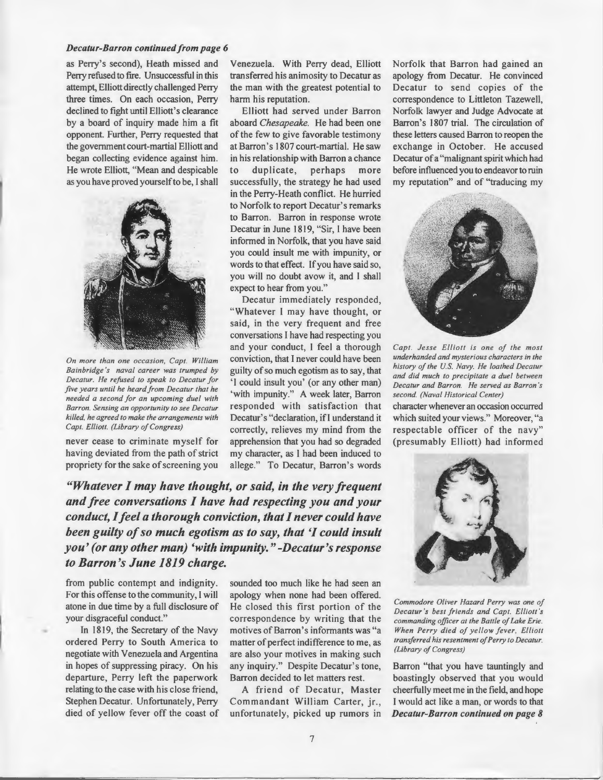#### *Decatur-Barron continued from page 6*

as Perry's second), Heath missed and Perry refused to fire. Unsuccessful in this attempt, Elliott directly challenged Perry three times. On each occasion, Perry declined to fight until Elliott's clearance by a board of inquiry made him a fit opponent. Further, Perry requested that the government court-martial Elliott and began collecting evidence against him. He wrote Elliott, "Mean and despicable as you have proved yourself to be, I shall



*On more than one occasion, Capt. William Bainbridge 's naval career was trumped by Decatur. He refused to speak to Decatur for five years until he heard from Decatur that he needed a second for an upcoming duel with Barron. Sensing an opportunity to see Decatur killed, he agreed to make the arrangements with Capt. Elliott. (Library of Congress)* 

never cease to criminate myself for having deviated from the path of strict propriety for the sake of screening you

Venezuela. With Perry dead, Elliott transferred his animosity to Decatur as the man with the greatest potential to harm his reputation.

Elliott had served under Barron aboard *Chesapeake.* He had been one of the few to give favorable testimony at Barron's 1807 court-martial. He saw in his relationship with Barron a chance to duplicate, perhaps more successfully, the strategy he had used in the Perry-Heath conflict. He hurried to Norfolk to report Decatur's remarks to Barron. Barron in response wrote Decatur in June 1819, "Sir, I have been informed in Norfolk, that you have said you could insult me with impunity, or words to that effect. If you have said so, you will no doubt avow it, and 1 shall expect to hear from you."

Decatur immediately responded, "Whatever I may have thought, or said, in the very frequent and free conversations I have had respecting you and your conduct, I feel a thorough conviction, that I never could have been guilty of so much egotism as to say, that 'I could insult you' (or any other man) 'with impunity." A week later, Barron responded with satisfaction that Decatur's "declaration, if I understand it correctly, relieves my mind from the apprehension that you had so degraded my character, as I had been induced to allege." To Decatur, Barron's words

*"Whatever I may have thought, or said, in the very frequent and free conversations I have had respecting you and your conduct, I feel a thorough conviction, that I never could have been guilty of so much egotism as to say, that 'I could insult you' (or any other man) 'with impunity." -Decatur's response to Barron's June 1819 charge.* 

from public contempt and indignity. For this offense to the community, I will atone in due time by a full disclosure of your disgraceful conduct."

In 1819, the Secretary of the Navy ordered Perry to South America to negotiate with Venezuela and Argentina in hopes of suppressing piracy. On his departure, Perry left the paperwork relating to the case with his close friend, Stephen Decatur. Unfortunately, Perry died of yellow fever off the coast of sounded too much like he had seen an apology when none had been offered. He closed this first portion of the correspondence by writing that the motives of Barron's informants was "a matter of perfect indifference to me, as are also your motives in making such any inquiry." Despite Decatur's tone, Barron decided to let matters rest.

A friend of Decatur, Master Commandant William Carter, jr., unfortunately, picked up rumors in Norfolk that Barron had gained an apology from Decatur. He convinced Decatur to send copies of the correspondence to Littleton Tazewell, Norfolk lawyer and Judge Advocate at Barron's 1807 trial. The circulation of these letters caused Barron to reopen the exchange in October. He accused Decatur of a "malignant spirit which had before influenced you to endeavor to ruin my reputation" and of "traducing my



*Capt. Jesse Elliott is one of the most underhanded and mysterious characters in the history of the U.S Navy. He loathed Decatur and did much to precipitate a duel between Decatur and Barron. He served as Barron 's second. (Naval Historical Center)* 

character whenever an occasion occurred which suited your views." Moreover, "a respectable officer of the navy" (presumably Elliott) had informed



*Commodore Oliver Hazard Perry was one of Decatur 's best friends and Capt. Elliott 's commanding officer at the Battle of Lake Erie. When Perry died of ye llow fever. Elliott transferred his resentment of Perry to Decatur. (Library of Congress)* 

Barron "that you have tauntingly and boastingly observed that you would cheerfully meet me in the field, and hope I would act like a man, or words to that *Decatur-Barron continued on page 8*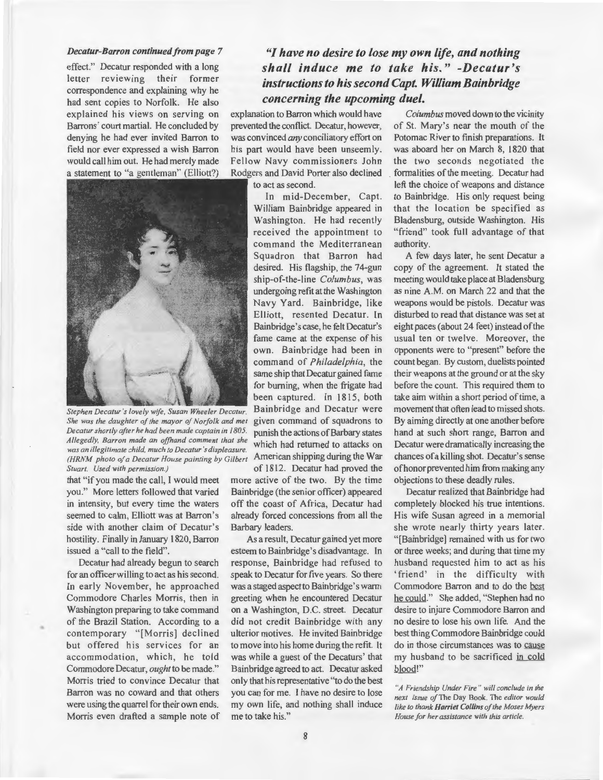#### *Decatur-Barron continued from page* 7

effect." Decatur responded with a long letter reviewing their former correspondence and explaining why he had sent copies to Norfolk. He also explained his views on serving on Barrons' court martial. He concluded by denying he had ever invited Barron to field nor ever expressed a wish Barron would call him out. He had merely made a statement to "a gentleman" (Elliott?)



*Stephen Decatur's lovely wife, Susan Wheeler Decatur.*  She was the daughter of the mayor of Norfolk and met *Decatur shortly after he had been made captain in 1805. Allegedly, Barron made an ofhand comment that she was an illegitimate child, much to Decatur's displeasure. (HRNM photo of a Decatur House painting by Gilbert Stuart. Used with permission.)* 

that "if you made the call, I would meet you." More letters followed that varied in intensity, but every *time* the waters seemed to calm, Elliott was at Barron's side with another claim of Decatur's hostility. Finally in January I 820, Barron issued a "call to the field".

Decatur had already begun to search for an officer willing to act as his second. In early November, he approached Commodore Charles Morris, then in Washington preparing to take command of the Brazil Station. According to a contemporary "[Morris] declined but offered his services for an accommodation, which, he told Commodore Decatur, *ought* to be made." Morris tried to convince Decatur that Barron was no coward and that others were using the quarrel for their own ends. Morris even drafted a sample note of

•

#### *"I have no desire to lose my own life, and nothing shall induce me to take his." -Decatur's instructions to his second Capt. William Bainbridge concerning the upcoming duel.*

explanation to Barron which would have prevented the conflict. Decatur, however, was convinced *any* conciliatory effort on his part would have been unseemly. Fellow Navy commissioners John Rodgers and David Porter also declined

to act as second.

In mid-December, Capt. William Bainbridge appeared in Washington. He had recently received the appointment to command the Mediterranean Squadron that Barron had desired. His flagship, the 74-gun ship-of-the-line *Columbus,* was undergoing refit at the Washington Navy Yard. Bainbridge, like Elliott, resented Decatur. In Bainbridge's case, he felt Decatur's fame came at the expense of his own. Bainbridge had been in command of *Philadelphia,* the same ship that Decatur gained fame for burning, when the frigate had been captured. In 1815, both Bainbridge and Decatur were given command of squadrons to punish the actions of Barbary states which had returned to attacks on American shipping during the War of 1812. Decatur had proved the

more active of the two. By the time Bainbridge (the senior officer) appeared off the coast of Africa, Decatur had already forced concessions from all the Barbary leaders.

As a result, Decatur gained yet more esteem to Bainbridge's disadvantage. In response, Bainbridge had refused to speak to Decatur for five years. So there was a staged aspect to Bainbridge's warm greeting when he encountered Decatur on a Washington, D.C. street. Decatur did not credit Bainbridge with any ulterior motives. He invited Bainbridge to move into his home during the refit. It was while a guest of the Decaturs' that Bainbridge agreed to act. Decatur asked only that his representative "to do the best you can for me. I have no desire to lose my own life, and nothing shall induce me to take his."

*Columbus* moved down to the vicinity of St. Mary's near the mouth of the Potomac River to finish preparations. It was aboard her on March 8, 1820 that the two seconds negotiated the . formalities of the meeting. Decatur had left the choice of weapons and distance to Bainbridge. His only request being that the location be specified as Bladensburg, outside Washington. His "friend" took full advantage of that authority.

A few days later, he sent Decatur a copy of the agreement. It stated the meeting would take place at Bladensburg as nine A.M. on March 22 and that the weapons would be pistols. Decatur was disturbed to read that distance was set at eight paces (about 24 feet) instead of the usual ten or twelve. Moreover, the opponents were to "present" before the count began. By custom, duelists pointed their weapons at the ground or at the sky before the count. This required them to take aim within a short period of time, a movement that often lead to missed shots. By aiming directly at one another before hand at such short range, Barron and Decatur were dramatically increasing the chances of a killing shot. Decatur's sense ofhonor prevented him from making any objections to these deadly rules.

Decatur realized that Bainbridge had completely blocked his true intentions. His wife Susan agreed in a memorial she wrote nearly thirty years later. " [Bainbridge] remained with us for two or three weeks; and during that time my husband requested him to act as his 'friend' in the difficulty with Commodore Barron and to do the best he could." She added, "Stephen had no desire to injure Commodore Barron and no desire to lose his own life. And the best thing Commodore Bainbridge could do in those circumstances was to cause my husband to be sacrificed in cold blood!"

*"A Friendship Under Fire" will conclude in the next issue* ofThe Day Book. The *editor would like to thank Harriet Collins oft he Moses Myers House for her assistance with this article.*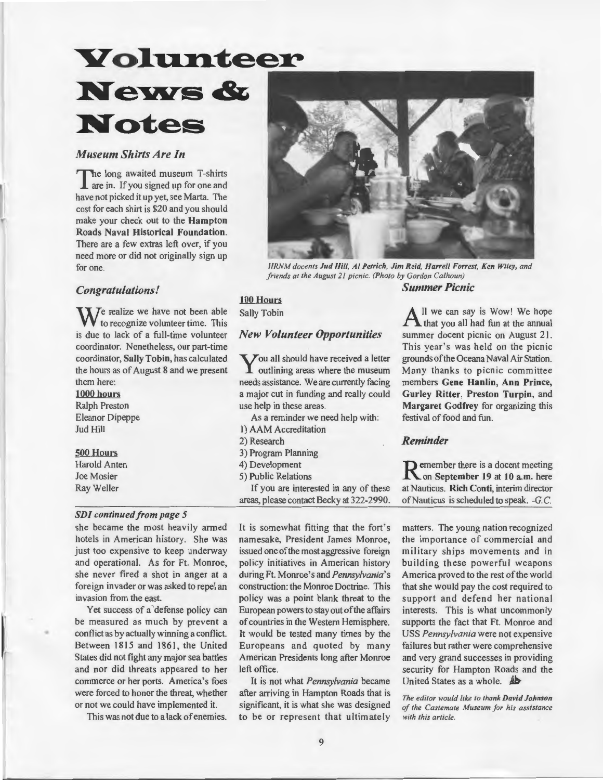### **Yolunteer** News & Notes

#### *Museum Shirts Are In*

The long awaited museum T-shirts  $\overline{\mathsf{L}}$  are in. If you signed up for one and have not picked it up yet, see Marta. The cost for each shirt is \$20 and you should make your check out to the Hampton Roads Naval Historical Foundation. There are a few extras left over, if you need more or did not originally sign up for one.

#### *Congratulations!*

 $\sum$  *J*e realize we have not been able to recognize volunteer time. This is due to lack of a full-time volunteer coordinator. Nonetheless, our part-time coordinator, Sally Tobin, has calculated the hours as of August 8 and we present them here:

1000 hours Ralph Preston Eleanor Dipeppe Jud Hill

#### 500 Hours

Harold Anten Joe Mosier Ray Weller

•

#### *SDI continued from page 5*

she became the most heavily armed hotels in American history. She was just too expensive to keep underway and operational. As for Ft. Monroe, she never fired a shot in anger at a foreign invader or was asked to repel an invasion from the east.

Yet success of a defense policy can be measured as much by prevent a conflict as by actually winning a conflict. Between 1815 and 1861, the United States did not fight any major sea battles and nor did threats appeared to her commerce or her ports. America's foes were forced to honor the threat, whether or not we could have implemented it.

This was not due to a lack of enemies.



*HRNM docents Jud Hill, AI Petrich, Jim Reid, Harrell Forrest, Ken Wiley, and friends at the August 21 picnic. (Photo by Gordon Calhoun) Summer Picnic* 

#### 100 Hours Sally Tobin

#### *New Volunteer Opportunities*

You all should have received a letter outlining areas where the museum needs assistance. We are currently facing a major cut in funding and really could use help in these areas.

As a reminder we need help with:

- I) AAM Accreditation
- 2) Research
- 3) Program Planning
- 4) Development
- 5) Public Relations

If you are interested in any of these areas, please contact Becky at 322-2990.

It is somewhat fitting that the fort's namesake, President James Monroe, issued one of the most aggressive foreign policy initiatives in American history during Ft. Monroe's and *Pennsylvania's*  construction: the Monroe Doctrine. This policy was a point blank threat to the European powers to stay out of the affairs of countries in the Western Hemisphere. It would be tested many times by the Europeans and quoted by many American Presidents long after Monroe left office.

It is not what *Pennsylvania* became after arriving in Hampton Roads that is significant, it is what she was designed to be or represent that ultimately

 $A<sup>ll</sup>$  we can say is Wow! We hope that you all had fun at the annual summer docent picnic on August 21. This year's was held on the picnic grounds of the Oceana Naval Air Station. Many thanks to picnic committee members Gene Hanlin, Ann Prince, Gurley Ritter, Preston Turpin, and Margaret Godfrey for organizing this festival of food and fun.

#### *Reminder*

Remember there is a docent meeting<br> **R** on September 19 at 10 a.m. here at Nauticus. Rich Conti, interim director of Nauticus is scheduled to speak. -G.C.

matters. The young nation recognized the importance of commercial and military ships movements and in building these powerful weapons America proved to the rest of the world that she would pay the cost required to support and defend her national interests. This is what uncommonly supports the fact that Ft. Monroe and USS *Pennsylvania* were not expensive failures but rather were comprehensive and very grand successes in providing security for Hampton Roads and the United States as a whole.  $\mathbf{\mathbf{\underline{4}}\underline{\underline{\mathbf{8}}}}$ 

*The editor would like to thank David Johnson of the Castemate Museum for his assistance with this article.*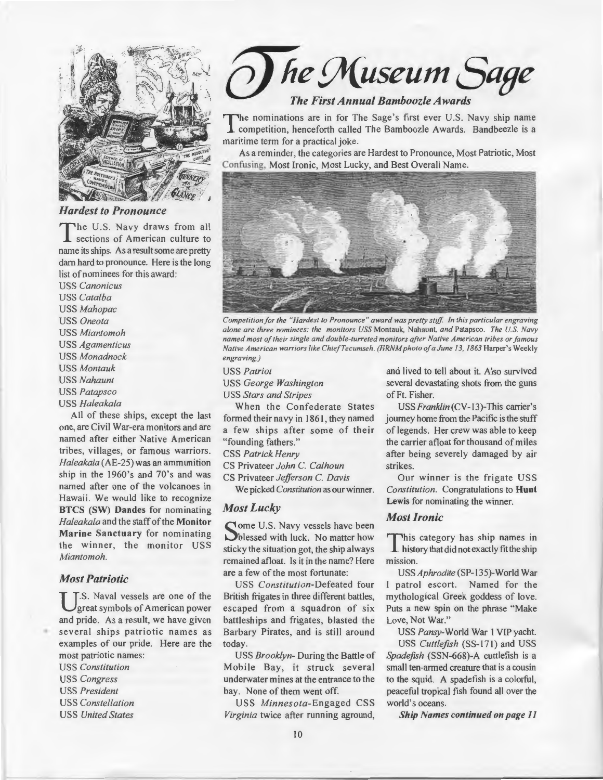

#### *Hardest to Pronounce*

The U.S. Navy draws from all sections of American culture to name its ships. As a result some are pretty dam hard to pronounce. Here is the long list of nominees for this award:

USS *Canonicus*  USS *Catalba*  USS *Mahopac*  USS *Oneota*  USS *Miantomoh*  USS *Agamenticus*  USS *Monadnock*  USS *Montauk*  USS *Nahaunt*  USS *Patapsco* 

USS *Haleakala* 

All of these ships, except the last one, are Civil War-era monitors and are named after either Native American tribes, villages, or famous warriors. *Haleakala* (AE-25) was an ammunition ship in the 1960's and 70's and was named after one of the volcanoes in Hawaii. We would like to recognize BTCS (SW) Dandes for nominating *Haleakala* and the staff of the Monitor Marine Sanctuary for nominating the winner, the monitor USS *Miantomoh.* 

#### *Most Patriotic*

T.S. Naval vessels are one of the great symbols of American power and pride. As a result, we have given several ships patriotic names as examples of our pride. Here are the most patriotic names:

USS *Constitution*  USS *Congress*  USS *President*  USS *Constellation*  USS *United States* 

*he* ~useum *Sage* 

#### *The First Annual Bamboozle Awards*

The nominations are in for The Sage's first ever U.S. Navy ship name<br>competition, henceforth called The Bamboozle Awards. Bandbeezle is a maritime term for a practical joke.

As a reminder, the categories are Hardest to Pronounce, Most Patriotic, Most Confusing, Most Ironic, Most Lucky, and Best Overall Name.



*Competition for the "Hardest to Pronounce " award was pretty stiff In this particular engraving alone are three nominees: the monitors USS* Montauk, Nahaunt, *and* Patapsco. *The U.S. Navy named most of their single and double-turreted monitors after Native American tribes or famous Native American warriors like Chief Tecumseh. (HRNM photo of a June 13, 1863 Harper's Weekly engraving.)* 

USS *Patriot* 

USS *George Washington* 

USS *Stars and Stripes* 

When the Confederate States formed their navy in 1861, they named a few ships after some of their "founding fathers."

CSS *Patrick Henry* 

CS Privateer *John* C. *Calhoun* 

CS Privateer *Jefferson* C. *Davis* 

We picked *Constitution* as our winner.

#### *Most Lucky*

Some U.S. Navy vessels have been<br>blessed with luck. No matter how sticky the situation got, the ship always remained afloat. Is it in the name? Here are a few of the most fortunate:

USS *Constitution-Defeated* four British frigates in three different battles, escaped from a squadron of six battleships and frigates, blasted the Barbary Pirates, and is still around today.

USS *Brooklyn-* During the Battle of Mobile Bay, it struck several underwater mines at the entrance to the bay. None of them went off.

USS *Minnesota-Engaged* CSS *Virginia* twice after running aground, and lived to tell about it. Also survived several devastating shots from the guns of Ft. Fisher.

USS Franklin (CV-13)-This carrier's journey home from the Pacific is the stuff of legends. Her crew was able to keep the carrier afloat for thousand of miles after being severely damaged by air strikes.

Our winner is the frigate USS *Constitution.* Congratulations to Hunt Lewis for nominating the winner.

#### *Most Ironic*

This category has ship names in history that did not exactly fit the ship mission.

*USSAphrodite* (SP-135)-World War I patrol escort. Named for the mythological Greek goddess of love. Puts a new spin on the phrase "Make Love, Not War."

USS *Pansy-*World War I VIP yacht. USS *Cuttlefish* (SS-171) and USS *Spadefish* (SSN-668)-A cuttlefish is a small ten-armed creature that is a cousin to the squid. A spadefish is a colorful, peaceful tropical fish found all over the world's oceans.

*Ship Names continued on page 11*